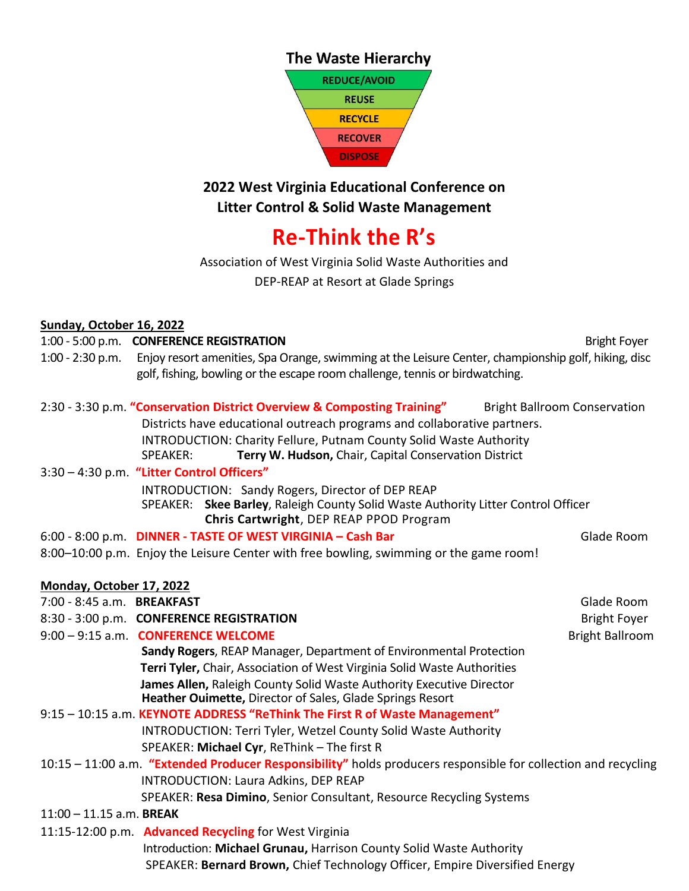### **The Waste Hierarchy**



## **2022 West Virginia Educational Conference on Litter Control & Solid Waste Management**

# **Re-Think the R's**

Association of West Virginia Solid Waste Authorities and DEP-REAP at Resort at Glade Springs

### **Sunday, October 16, 2022**

### 1:00 - 5:00 p.m. **CONFERENCE REGISTRATION** Bright Foyer

1:00 - 2:30 p.m. Enjoy resort amenities, Spa Orange, swimming at the Leisure Center, championship golf, hiking, disc golf, fishing, bowling or the escape room challenge, tennis or birdwatching.

| 2:30 - 3:30 p.m. "Conservation District Overview & Composting Training"<br><b>Bright Ballroom Conservation</b>                                                                   |            |  |  |
|----------------------------------------------------------------------------------------------------------------------------------------------------------------------------------|------------|--|--|
| Districts have educational outreach programs and collaborative partners.                                                                                                         |            |  |  |
| INTRODUCTION: Charity Fellure, Putnam County Solid Waste Authority                                                                                                               |            |  |  |
| Terry W. Hudson, Chair, Capital Conservation District<br>SPEAKER:                                                                                                                |            |  |  |
| 3:30 - 4:30 p.m. "Litter Control Officers"                                                                                                                                       |            |  |  |
| INTRODUCTION: Sandy Rogers, Director of DEP REAP<br>SPEAKER: Skee Barley, Raleigh County Solid Waste Authority Litter Control Officer<br>Chris Cartwright, DEP REAP PPOD Program |            |  |  |
| 6:00 - 8:00 p.m. DINNER - TASTE OF WEST VIRGINIA - Cash Bar<br>8:00–10:00 p.m. Enjoy the Leisure Center with free bowling, swimming or the game room!                            | Glade Room |  |  |

| Monday, October 17, 2022   |                                                                                                                                   |                        |
|----------------------------|-----------------------------------------------------------------------------------------------------------------------------------|------------------------|
| 7:00 - 8:45 a.m. BREAKFAST |                                                                                                                                   | Glade Room             |
|                            | 8:30 - 3:00 p.m. CONFERENCE REGISTRATION                                                                                          | <b>Bright Foyer</b>    |
|                            | 9:00 - 9:15 a.m. CONFERENCE WELCOME                                                                                               | <b>Bright Ballroom</b> |
|                            | <b>Sandy Rogers, REAP Manager, Department of Environmental Protection</b>                                                         |                        |
|                            | Terri Tyler, Chair, Association of West Virginia Solid Waste Authorities                                                          |                        |
|                            | James Allen, Raleigh County Solid Waste Authority Executive Director<br>Heather Ouimette, Director of Sales, Glade Springs Resort |                        |
|                            | 9:15 - 10:15 a.m. KEYNOTE ADDRESS "ReThink The First R of Waste Management"                                                       |                        |
|                            | INTRODUCTION: Terri Tyler, Wetzel County Solid Waste Authority                                                                    |                        |
|                            | SPEAKER: Michael Cyr, ReThink - The first R                                                                                       |                        |
|                            | 10:15 - 11:00 a.m. "Extended Producer Responsibility" holds producers responsible for collection and recycling                    |                        |
|                            | <b>INTRODUCTION: Laura Adkins, DEP REAP</b>                                                                                       |                        |
|                            | SPEAKER: Resa Dimino, Senior Consultant, Resource Recycling Systems                                                               |                        |
| $11:00 - 11.15$ a.m. BREAK |                                                                                                                                   |                        |
|                            | 11:15-12:00 p.m. Advanced Recycling for West Virginia                                                                             |                        |
|                            | Introduction: Michael Grunau, Harrison County Solid Waste Authority                                                               |                        |
|                            | SPEAKER: Bernard Brown, Chief Technology Officer, Empire Diversified Energy                                                       |                        |